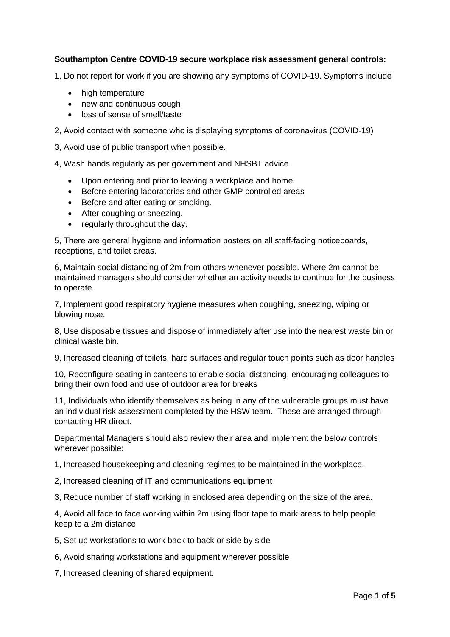## **Southampton Centre COVID-19 secure workplace risk assessment general controls:**

1, Do not report for work if you are showing any symptoms of COVID-19. Symptoms include

- high temperature
- new and continuous cough
- loss of sense of smell/taste

2, Avoid contact with someone who is displaying symptoms of coronavirus (COVID-19)

3, Avoid use of public transport when possible.

4, Wash hands regularly as per government and NHSBT advice.

- Upon entering and prior to leaving a workplace and home.
- Before entering laboratories and other GMP controlled areas
- Before and after eating or smoking.
- After coughing or sneezing.
- regularly throughout the day.

5, There are general hygiene and information posters on all staff-facing noticeboards, receptions, and toilet areas.

6, Maintain social distancing of 2m from others whenever possible. Where 2m cannot be maintained managers should consider whether an activity needs to continue for the business to operate.

7, Implement good respiratory hygiene measures when coughing, sneezing, wiping or blowing nose.

8, Use disposable tissues and dispose of immediately after use into the nearest waste bin or clinical waste bin.

9, Increased cleaning of toilets, hard surfaces and regular touch points such as door handles

10, Reconfigure seating in canteens to enable social distancing, encouraging colleagues to bring their own food and use of outdoor area for breaks

11, Individuals who identify themselves as being in any of the vulnerable groups must have an individual risk assessment completed by the HSW team. These are arranged through contacting HR direct.

Departmental Managers should also review their area and implement the below controls wherever possible:

1, Increased housekeeping and cleaning regimes to be maintained in the workplace.

2, Increased cleaning of IT and communications equipment

3, Reduce number of staff working in enclosed area depending on the size of the area.

4, Avoid all face to face working within 2m using floor tape to mark areas to help people keep to a 2m distance

5, Set up workstations to work back to back or side by side

6, Avoid sharing workstations and equipment wherever possible

7, Increased cleaning of shared equipment.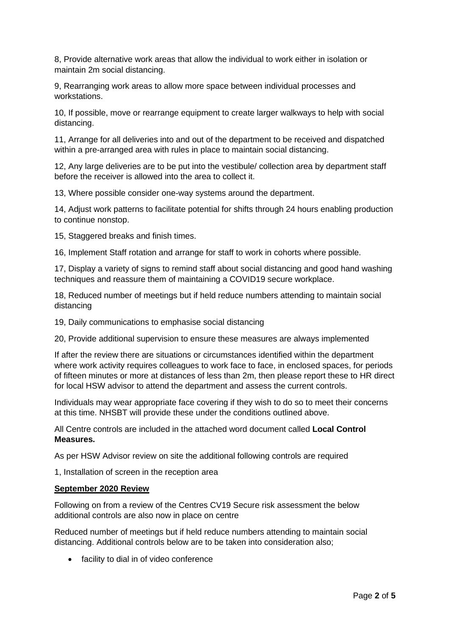8, Provide alternative work areas that allow the individual to work either in isolation or maintain 2m social distancing.

9, Rearranging work areas to allow more space between individual processes and workstations.

10, If possible, move or rearrange equipment to create larger walkways to help with social distancing.

11, Arrange for all deliveries into and out of the department to be received and dispatched within a pre-arranged area with rules in place to maintain social distancing.

12, Any large deliveries are to be put into the vestibule/ collection area by department staff before the receiver is allowed into the area to collect it.

13, Where possible consider one-way systems around the department.

14, Adjust work patterns to facilitate potential for shifts through 24 hours enabling production to continue nonstop.

15, Staggered breaks and finish times.

16, Implement Staff rotation and arrange for staff to work in cohorts where possible.

17, Display a variety of signs to remind staff about social distancing and good hand washing techniques and reassure them of maintaining a COVID19 secure workplace.

18, Reduced number of meetings but if held reduce numbers attending to maintain social distancing

19, Daily communications to emphasise social distancing

20, Provide additional supervision to ensure these measures are always implemented

If after the review there are situations or circumstances identified within the department where work activity requires colleagues to work face to face, in enclosed spaces, for periods of fifteen minutes or more at distances of less than 2m, then please report these to HR direct for local HSW advisor to attend the department and assess the current controls.

Individuals may wear appropriate face covering if they wish to do so to meet their concerns at this time. NHSBT will provide these under the conditions outlined above.

All Centre controls are included in the attached word document called **Local Control Measures.**

As per HSW Advisor review on site the additional following controls are required

1, Installation of screen in the reception area

### **September 2020 Review**

Following on from a review of the Centres CV19 Secure risk assessment the below additional controls are also now in place on centre

Reduced number of meetings but if held reduce numbers attending to maintain social distancing. Additional controls below are to be taken into consideration also;

• facility to dial in of video conference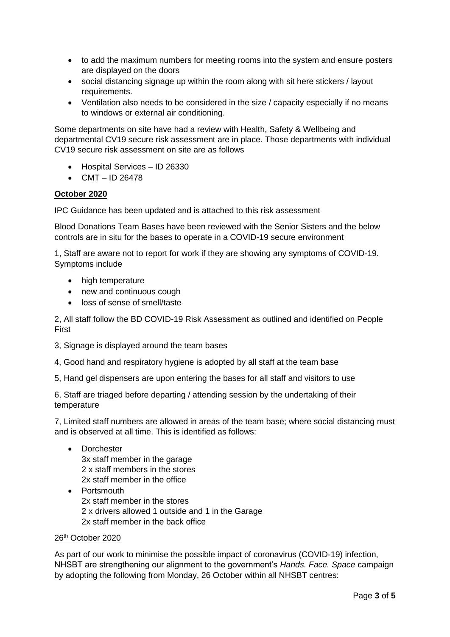- to add the maximum numbers for meeting rooms into the system and ensure posters are displayed on the doors
- social distancing signage up within the room along with sit here stickers / layout requirements.
- Ventilation also needs to be considered in the size / capacity especially if no means to windows or external air conditioning.

Some departments on site have had a review with Health, Safety & Wellbeing and departmental CV19 secure risk assessment are in place. Those departments with individual CV19 secure risk assessment on site are as follows

- Hospital Services ID 26330
- $CMT ID 26478$

## **October 2020**

IPC Guidance has been updated and is attached to this risk assessment

Blood Donations Team Bases have been reviewed with the Senior Sisters and the below controls are in situ for the bases to operate in a COVID-19 secure environment

1, Staff are aware not to report for work if they are showing any symptoms of COVID-19. Symptoms include

- high temperature
- new and continuous cough
- loss of sense of smell/taste

2, All staff follow the BD COVID-19 Risk Assessment as outlined and identified on People First

- 3, Signage is displayed around the team bases
- 4, Good hand and respiratory hygiene is adopted by all staff at the team base
- 5, Hand gel dispensers are upon entering the bases for all staff and visitors to use

6, Staff are triaged before departing / attending session by the undertaking of their temperature

7, Limited staff numbers are allowed in areas of the team base; where social distancing must and is observed at all time. This is identified as follows:

- Dorchester 3x staff member in the garage 2 x staff members in the stores 2x staff member in the office
- Portsmouth 2x staff member in the stores 2 x drivers allowed 1 outside and 1 in the Garage 2x staff member in the back office

### 26th October 2020

As part of our work to minimise the possible impact of coronavirus (COVID-19) infection, NHSBT are strengthening our alignment to the government's *Hands. Face. Space* campaign by adopting the following from Monday, 26 October within all NHSBT centres: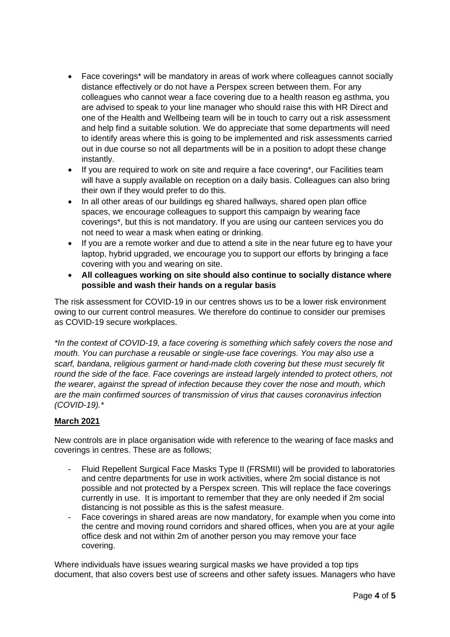- Face coverings\* will be mandatory in areas of work where colleagues cannot socially distance effectively or do not have a Perspex screen between them. For any colleagues who cannot wear a face covering due to a health reason eg asthma, you are advised to speak to your line manager who should raise this with HR Direct and one of the Health and Wellbeing team will be in touch to carry out a risk assessment and help find a suitable solution. We do appreciate that some departments will need to identify areas where this is going to be implemented and risk assessments carried out in due course so not all departments will be in a position to adopt these change instantly.
- If you are required to work on site and require a face covering\*, our Facilities team will have a supply available on reception on a daily basis. Colleagues can also bring their own if they would prefer to do this.
- In all other areas of our buildings eg shared hallways, shared open plan office spaces, we encourage colleagues to support this campaign by wearing face coverings\*, but this is not mandatory. If you are using our canteen services you do not need to wear a mask when eating or drinking.
- If you are a remote worker and due to attend a site in the near future eg to have your laptop, hybrid upgraded, we encourage you to support our efforts by bringing a face covering with you and wearing on site.
- **All colleagues working on site should also continue to socially distance where possible and wash their hands on a regular basis**

The risk assessment for COVID-19 in our centres shows us to be a lower risk environment owing to our current control measures. We therefore do continue to consider our premises as COVID-19 secure workplaces.

*\*In the context of COVID-19, a face covering is something which safely covers the nose and mouth. You can purchase a reusable or single-use face coverings. You may also use a scarf, bandana, religious garment or hand-made cloth covering but these must securely fit round the side of the face. Face coverings are instead largely intended to protect others, not the wearer, against the spread of infection because they cover the nose and mouth, which are the main confirmed sources of transmission of virus that causes coronavirus infection (COVID-19).\**

# **March 2021**

New controls are in place organisation wide with reference to the wearing of face masks and coverings in centres. These are as follows;

- Fluid Repellent Surgical Face Masks Type II (FRSMII) will be provided to laboratories and centre departments for use in work activities, where 2m social distance is not possible and not protected by a Perspex screen. This will replace the face coverings currently in use. It is important to remember that they are only needed if 2m social distancing is not possible as this is the safest measure.
- Face coverings in shared areas are now mandatory, for example when you come into the centre and moving round corridors and shared offices, when you are at your agile office desk and not within 2m of another person you may remove your face covering.

Where individuals have issues wearing surgical masks we have provided a top tips document, that also covers best use of screens and other safety issues. Managers who have